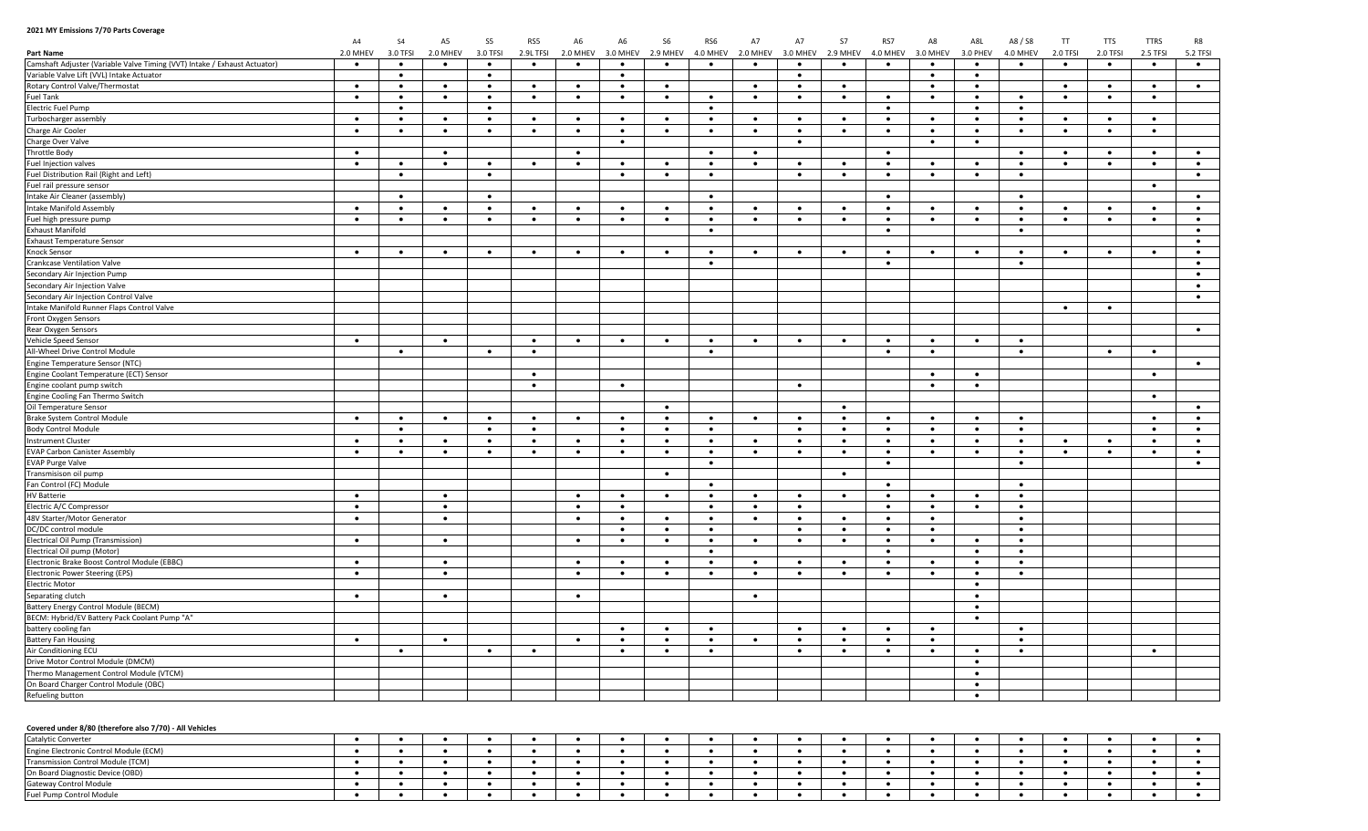## **2021 MY Emissions 7/70 Parts Coverage**

|                                                                           | A4        | <b>S4</b> | A <sub>5</sub> | S <sub>5</sub> | RS5       | A <sub>6</sub> | A6        | <b>S6</b> | RS6       | A7        | A7        | <b>S7</b> | RS7       | A8        | A8L       | A8 / S8   | $\mathsf{T}\mathsf{T}$ | <b>TTS</b> | <b>TTRS</b> | R8        |
|---------------------------------------------------------------------------|-----------|-----------|----------------|----------------|-----------|----------------|-----------|-----------|-----------|-----------|-----------|-----------|-----------|-----------|-----------|-----------|------------------------|------------|-------------|-----------|
| <b>Part Name</b>                                                          | 2.0 MHEV  | 3.0 TFSI  | 2.0 MHEV       | 3.0 TFSI       | 2.9L TFSI | 2.0 MHEV       | 3.0 MHEV  | 2.9 MHEV  | 4.0 MHEV  | 2.0 MHEV  | 3.0 MHEV  | 2.9 MHEV  | 4.0 MHEV  | 3.0 MHEV  | 3.0 PHEV  | 4.0 MHEV  | 2.0 TFSI               | 2.0 TFSI   | 2.5 TFSI    | 5.2 TFSI  |
| Camshaft Adjuster (Variable Valve Timing (VVT) Intake / Exhaust Actuator) | $\bullet$ | $\bullet$ | $\bullet$      | $\bullet$      | $\bullet$ | $\bullet$      | $\bullet$ | $\bullet$ | $\bullet$ | $\bullet$ | $\bullet$ | $\bullet$ | $\bullet$ | $\bullet$ | $\bullet$ | $\bullet$ | $\bullet$              | $\bullet$  | $\bullet$   | $\bullet$ |
| Variable Valve Lift (VVL) Intake Actuator                                 |           | $\bullet$ |                | $\bullet$      |           |                | $\bullet$ |           |           |           | $\bullet$ |           |           | $\bullet$ | $\bullet$ |           |                        |            |             |           |
| Rotary Control Valve/Thermostat                                           | $\bullet$ | $\bullet$ | $\bullet$      | $\bullet$      | $\bullet$ | $\bullet$      | $\bullet$ | $\bullet$ |           | $\bullet$ | $\bullet$ | $\bullet$ |           | $\bullet$ | $\bullet$ |           | $\bullet$              | $\bullet$  | $\bullet$   | $\bullet$ |
| <b>Fuel Tank</b>                                                          | $\bullet$ | $\bullet$ | $\bullet$      | $\bullet$      | $\bullet$ | $\bullet$      | $\bullet$ | $\bullet$ | ٠         | $\bullet$ | $\bullet$ | $\bullet$ | $\bullet$ | $\bullet$ | $\bullet$ | ٠         | $\bullet$              | $\bullet$  | $\bullet$   |           |
| <b>Electric Fuel Pump</b>                                                 |           | $\bullet$ |                | $\bullet$      |           |                |           |           | $\bullet$ |           |           |           | $\bullet$ |           | $\bullet$ | $\bullet$ |                        |            |             |           |
| Turbocharger assembly                                                     | $\bullet$ | $\bullet$ | $\bullet$      | $\bullet$      | $\bullet$ | $\bullet$      | $\bullet$ | $\bullet$ | $\bullet$ | $\bullet$ | $\bullet$ | $\bullet$ | $\bullet$ | $\bullet$ | $\bullet$ | $\bullet$ | $\bullet$              | $\bullet$  | $\bullet$   |           |
| Charge Air Cooler                                                         | $\bullet$ | $\bullet$ | $\bullet$      | $\bullet$      | $\bullet$ | $\bullet$      | $\bullet$ | $\bullet$ | $\bullet$ | $\bullet$ | $\bullet$ | $\bullet$ | $\bullet$ | $\bullet$ | $\bullet$ | $\bullet$ | $\bullet$              | $\bullet$  | $\bullet$   |           |
| Charge Over Valve                                                         |           |           |                |                |           |                | $\bullet$ |           |           |           | $\bullet$ |           |           | $\bullet$ | $\bullet$ |           |                        |            |             |           |
| <b>Throttle Body</b>                                                      | $\bullet$ |           | $\bullet$      |                |           | $\bullet$      |           |           | $\bullet$ | $\bullet$ |           |           | $\bullet$ |           |           | $\bullet$ | $\bullet$              | $\bullet$  | $\bullet$   | $\bullet$ |
| Fuel Injection valves                                                     | $\bullet$ | $\bullet$ | $\bullet$      | $\bullet$      | $\bullet$ | $\bullet$      | $\bullet$ | $\bullet$ | $\bullet$ | $\bullet$ | $\bullet$ | $\bullet$ | $\bullet$ | $\bullet$ | $\bullet$ | $\bullet$ | $\bullet$              | $\bullet$  | $\bullet$   | $\bullet$ |
| Fuel Distribution Rail (Right and Left)                                   |           | $\bullet$ |                | $\bullet$      |           |                | $\bullet$ | $\bullet$ | $\bullet$ |           | $\bullet$ | $\bullet$ | $\bullet$ | $\bullet$ | $\bullet$ | $\bullet$ |                        |            |             | $\bullet$ |
| Fuel rail pressure sensor                                                 |           |           |                |                |           |                |           |           |           |           |           |           |           |           |           |           |                        |            | $\bullet$   |           |
| Intake Air Cleaner (assembly)                                             |           | $\bullet$ |                | $\bullet$      |           |                |           |           | $\bullet$ |           |           |           | $\bullet$ |           |           | $\bullet$ |                        |            |             | $\bullet$ |
| Intake Manifold Assembly                                                  | $\bullet$ | $\bullet$ | $\bullet$      | $\bullet$      | $\bullet$ | $\bullet$      | $\bullet$ | $\bullet$ | $\bullet$ | $\bullet$ | $\bullet$ | $\bullet$ | $\bullet$ | $\bullet$ | $\bullet$ | $\bullet$ | $\bullet$              | $\bullet$  | $\bullet$   | $\bullet$ |
| Fuel high pressure pump                                                   | $\bullet$ | $\bullet$ | $\bullet$      | $\bullet$      | $\bullet$ | $\bullet$      | $\bullet$ | $\bullet$ | $\bullet$ | $\bullet$ | $\bullet$ | $\bullet$ | $\bullet$ | $\bullet$ | $\bullet$ | $\bullet$ | $\bullet$              | $\bullet$  | $\bullet$   | $\bullet$ |
| <b>Exhaust Manifold</b>                                                   |           |           |                |                |           |                |           |           | $\bullet$ |           |           |           | $\bullet$ |           |           | $\bullet$ |                        |            |             | $\bullet$ |
| <b>Exhaust Temperature Sensor</b>                                         |           |           |                |                |           |                |           |           |           |           |           |           |           |           |           |           |                        |            |             | $\bullet$ |
| Knock Sensor                                                              | $\bullet$ | $\bullet$ | $\bullet$      | $\bullet$      | $\bullet$ | $\bullet$      | $\bullet$ | $\bullet$ | $\bullet$ | $\bullet$ | $\bullet$ | $\bullet$ | $\bullet$ | $\bullet$ | $\bullet$ | $\bullet$ | $\bullet$              | $\bullet$  | $\bullet$   | $\bullet$ |
| <b>Crankcase Ventilation Valve</b>                                        |           |           |                |                |           |                |           |           | $\bullet$ |           |           |           | $\bullet$ |           |           | $\bullet$ |                        |            |             | $\bullet$ |
| Secondary Air Injection Pump                                              |           |           |                |                |           |                |           |           |           |           |           |           |           |           |           |           |                        |            |             | $\bullet$ |
| Secondary Air Injection Valve                                             |           |           |                |                |           |                |           |           |           |           |           |           |           |           |           |           |                        |            |             | $\bullet$ |
| Secondary Air Injection Control Valve                                     |           |           |                |                |           |                |           |           |           |           |           |           |           |           |           |           |                        |            |             | $\bullet$ |
| Intake Manifold Runner Flaps Control Valve                                |           |           |                |                |           |                |           |           |           |           |           |           |           |           |           |           | $\bullet$              | $\bullet$  |             |           |
| Front Oxygen Sensors                                                      |           |           |                |                |           |                |           |           |           |           |           |           |           |           |           |           |                        |            |             |           |
| Rear Oxygen Sensors                                                       |           |           |                |                |           |                |           |           |           |           |           |           |           |           |           |           |                        |            |             | $\bullet$ |
| Vehicle Speed Sensor                                                      | $\bullet$ |           | $\bullet$      |                | $\bullet$ | $\bullet$      | $\bullet$ | $\bullet$ | $\bullet$ | $\bullet$ | $\bullet$ | $\bullet$ | $\bullet$ | $\bullet$ | $\bullet$ | $\bullet$ |                        |            |             |           |
| All-Wheel Drive Control Module                                            |           |           |                |                | $\bullet$ |                |           |           |           |           |           |           |           | $\bullet$ |           | $\bullet$ |                        | $\bullet$  |             |           |
|                                                                           |           | $\bullet$ |                | $\bullet$      |           |                |           |           | $\bullet$ |           |           |           | $\bullet$ |           |           |           |                        |            | $\bullet$   |           |
| Engine Temperature Sensor (NTC)                                           |           |           |                |                |           |                |           |           |           |           |           |           |           |           |           |           |                        |            |             | $\bullet$ |
| Engine Coolant Temperature (ECT) Sensor                                   |           |           |                |                | $\bullet$ |                |           |           |           |           |           |           |           | $\bullet$ | $\bullet$ |           |                        |            | $\bullet$   |           |
| Engine coolant pump switch                                                |           |           |                |                | $\bullet$ |                | $\bullet$ |           |           |           | $\bullet$ |           |           | $\bullet$ | $\bullet$ |           |                        |            |             |           |
| Engine Cooling Fan Thermo Switch                                          |           |           |                |                |           |                |           |           |           |           |           |           |           |           |           |           |                        |            | $\bullet$   |           |
| Oil Temperature Sensor                                                    |           |           |                |                |           |                |           | $\bullet$ |           |           |           | $\bullet$ |           |           |           |           |                        |            |             | $\bullet$ |
| Brake System Control Module                                               | $\bullet$ | $\bullet$ | $\bullet$      | $\bullet$      | $\bullet$ | $\bullet$      | $\bullet$ | $\bullet$ | $\bullet$ | $\bullet$ | $\bullet$ | $\bullet$ | $\bullet$ | $\bullet$ |           | $\bullet$ |                        |            | $\bullet$   | $\bullet$ |
| <b>Body Control Module</b>                                                |           | $\bullet$ |                | $\bullet$      | $\bullet$ |                | $\bullet$ | $\bullet$ | $\bullet$ |           | $\bullet$ | $\bullet$ | $\bullet$ | $\bullet$ | $\bullet$ | $\bullet$ |                        |            | $\bullet$   | $\bullet$ |
| <b>Instrument Cluster</b>                                                 | $\bullet$ | $\bullet$ | $\bullet$      | $\bullet$      | $\bullet$ | $\bullet$      | $\bullet$ | $\bullet$ | $\bullet$ | $\bullet$ | $\bullet$ | $\bullet$ | $\bullet$ | $\bullet$ | $\bullet$ | $\bullet$ | $\bullet$              | $\bullet$  | $\bullet$   | $\bullet$ |
| <b>EVAP Carbon Canister Assembly</b>                                      | $\bullet$ | $\bullet$ | $\bullet$      | $\bullet$      | $\bullet$ | $\bullet$      | $\bullet$ | $\bullet$ | $\bullet$ | $\bullet$ | $\bullet$ | $\bullet$ | $\bullet$ | $\bullet$ | $\bullet$ | $\bullet$ | $\bullet$              | $\bullet$  | $\bullet$   | $\bullet$ |
| <b>EVAP Purge Valve</b>                                                   |           |           |                |                |           |                |           |           | $\bullet$ |           |           |           | $\bullet$ |           |           | $\bullet$ |                        |            |             | $\bullet$ |
| Transmisison oil pump                                                     |           |           |                |                |           |                |           | $\bullet$ |           |           |           | $\bullet$ |           |           |           |           |                        |            |             |           |
| Fan Control (FC) Module                                                   |           |           |                |                |           |                |           |           | $\bullet$ |           |           |           | $\bullet$ |           |           | $\bullet$ |                        |            |             |           |
| <b>HV Batterie</b>                                                        | $\bullet$ |           | $\bullet$      |                |           | $\bullet$      | $\bullet$ | $\bullet$ | $\bullet$ | $\bullet$ | $\bullet$ | $\bullet$ | $\bullet$ | $\bullet$ | $\bullet$ | $\bullet$ |                        |            |             |           |
| Electric A/C Compressor                                                   | $\bullet$ |           | $\bullet$      |                |           | $\bullet$      | $\bullet$ |           | $\bullet$ | $\bullet$ | $\bullet$ |           | $\bullet$ | $\bullet$ | $\bullet$ | $\bullet$ |                        |            |             |           |
| 48V Starter/Motor Generator                                               | $\bullet$ |           | $\bullet$      |                |           | $\bullet$      | $\bullet$ | $\bullet$ | $\bullet$ | $\bullet$ | $\bullet$ | $\bullet$ | $\bullet$ | $\bullet$ |           | $\bullet$ |                        |            |             |           |
| DC/DC control module                                                      |           |           |                |                |           |                | $\bullet$ | $\bullet$ | $\bullet$ |           | $\bullet$ | $\bullet$ | $\bullet$ | $\bullet$ |           | $\bullet$ |                        |            |             |           |
| Electrical Oil Pump (Transmission)                                        | $\bullet$ |           | $\bullet$      |                |           | $\bullet$      | $\bullet$ | $\bullet$ | $\bullet$ | $\bullet$ | $\bullet$ | $\bullet$ | $\bullet$ | $\bullet$ | $\bullet$ | $\bullet$ |                        |            |             |           |
| Electrical Oil pump (Motor)                                               |           |           |                |                |           |                |           |           | $\bullet$ |           |           |           | $\bullet$ |           | $\bullet$ | $\bullet$ |                        |            |             |           |
| Electronic Brake Boost Control Module (EBBC)                              | $\bullet$ |           | $\bullet$      |                |           | $\bullet$      | $\bullet$ | $\bullet$ | $\bullet$ | $\bullet$ | $\bullet$ | $\bullet$ | $\bullet$ | $\bullet$ | $\bullet$ | $\bullet$ |                        |            |             |           |
| Electronic Power Steering (EPS)                                           | $\bullet$ |           | $\bullet$      |                |           | $\bullet$      | $\bullet$ | $\bullet$ | $\bullet$ | $\bullet$ | $\bullet$ | $\bullet$ | $\bullet$ | $\bullet$ | $\bullet$ | $\bullet$ |                        |            |             |           |
| Electric Motor                                                            |           |           |                |                |           |                |           |           |           |           |           |           |           |           | $\bullet$ |           |                        |            |             |           |
| Separating clutch                                                         | $\bullet$ |           | $\bullet$      |                |           | $\bullet$      |           |           |           | $\bullet$ |           |           |           |           | $\bullet$ |           |                        |            |             |           |
| Battery Energy Control Module (BECM)                                      |           |           |                |                |           |                |           |           |           |           |           |           |           |           | $\bullet$ |           |                        |            |             |           |
| BECM: Hybrid/EV Battery Pack Coolant Pump "A"                             |           |           |                |                |           |                |           |           |           |           |           |           |           |           | $\bullet$ |           |                        |            |             |           |
| battery cooling fan                                                       |           |           |                |                |           |                | $\bullet$ | $\bullet$ | $\bullet$ |           | $\bullet$ | $\bullet$ | $\bullet$ | $\bullet$ |           | $\bullet$ |                        |            |             |           |
| <b>Battery Fan Housing</b>                                                | $\bullet$ |           | $\bullet$      |                |           | $\bullet$      | $\bullet$ | $\bullet$ | $\bullet$ | $\bullet$ | $\bullet$ | $\bullet$ | $\bullet$ | $\bullet$ |           | $\bullet$ |                        |            |             |           |
| Air Conditioning ECU                                                      |           | $\bullet$ |                | $\bullet$      | $\bullet$ |                | $\bullet$ | $\bullet$ | $\bullet$ |           | $\bullet$ | $\bullet$ | $\bullet$ | $\bullet$ | $\bullet$ | $\bullet$ |                        |            | $\bullet$   |           |
| Drive Motor Control Module (DMCM)                                         |           |           |                |                |           |                |           |           |           |           |           |           |           |           | $\bullet$ |           |                        |            |             |           |
| Thermo Management Control Module (VTCM)                                   |           |           |                |                |           |                |           |           |           |           |           |           |           |           | $\bullet$ |           |                        |            |             |           |
| On Board Charger Control Module (OBC)                                     |           |           |                |                |           |                |           |           |           |           |           |           |           |           | $\bullet$ |           |                        |            |             |           |
| Refueling button                                                          |           |           |                |                |           |                |           |           |           |           |           |           |           |           | $\bullet$ |           |                        |            |             |           |
|                                                                           |           |           |                |                |           |                |           |           |           |           |           |           |           |           |           |           |                        |            |             |           |
|                                                                           |           |           |                |                |           |                |           |           |           |           |           |           |           |           |           |           |                        |            |             |           |
| Covered under 8/80 (therefore also 7/70) - All Vehicles                   |           |           |                |                |           |                |           |           |           |           |           |           |           |           |           |           |                        |            |             |           |
| Catalytic Converter                                                       |           |           |                |                |           |                |           |           |           |           |           |           |           |           |           |           |                        |            |             |           |

| Catalytic Converter                    |  |  |  |  |  |  |  |  |  |  |
|----------------------------------------|--|--|--|--|--|--|--|--|--|--|
| Engine Electronic Control Module (ECM) |  |  |  |  |  |  |  |  |  |  |
| Transmission Control Module (TCM)      |  |  |  |  |  |  |  |  |  |  |
| On Board Diagnostic Device (OBD)       |  |  |  |  |  |  |  |  |  |  |
| <b>Gateway Control Module</b>          |  |  |  |  |  |  |  |  |  |  |
| Fuel Pump Control Module               |  |  |  |  |  |  |  |  |  |  |